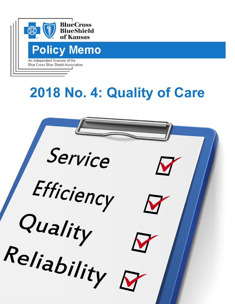

# **2018 No. 4: Quality of Care**

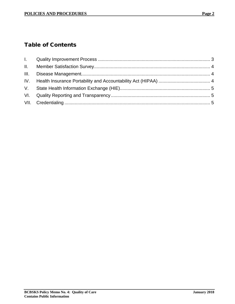# Table of Contents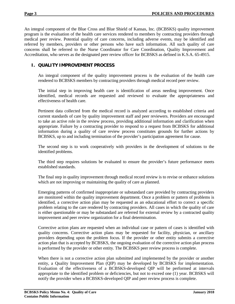An integral component of the Blue Cross and Blue Shield of Kansas, Inc. (BCBSKS) quality improvement program is the evaluation of the health care services rendered to members by contracting providers through medical peer review. Potential quality of care concerns, including adverse events, may be identified and referred by members, providers or other persons who have such information. All such quality of care concerns shall be referred to the Nurse Coordinator for Care Coordination, Quality Improvement and Accreditation, who serves as the designated peer review officer for BCBSKS as defined in K.S.A. 65-4915.

# <span id="page-3-0"></span>**I. QUALITY IMPROVEMENT PROCESS**

An integral component of the quality improvement process is the evaluation of the health care rendered to BCBSKS members by contracting providers through medical record peer review.

The initial step in improving health care is identification of areas needing improvement. Once identified, medical records are requested and reviewed to evaluate the appropriateness and effectiveness of health care.

Pertinent data collected from the medical record is analyzed according to established criteria and current standards of care by quality improvement staff and peer reviewers. Providers are encouraged to take an active role in the review process, providing additional information and clarification when appropriate. Failure by a contracting provider to respond to a request from BCBSKS for additional information during a quality of care review process constitutes grounds for further actions by BCBSKS, up to and including termination of the provider's participation agreement for cause.

The second step is to work cooperatively with providers in the development of solutions to the identified problems.

The third step requires solutions be evaluated to ensure the provider's future performance meets established standards.

The final step in quality improvement through medical record review is to revise or enhance solutions which are not improving or maintaining the quality of care as planned.

Emerging patterns of confirmed inappropriate or substandard care provided by contracting providers are monitored within the quality improvement department. Once a problem or pattern of problems is identified, a corrective action plan may be requested as an educational effort to correct a specific problem relating to the care rendered by contracting providers. All cases in which the quality of care is either questionable or may be substandard are referred for external review by a contracted quality improvement and peer review organization for a final determination.

Corrective action plans are requested when an individual case or pattern of cases is identified with quality concerns. Corrective action plans may be requested for facility, physician, or ancillary providers depending upon the problem focus. If the provider or other entity submits a corrective action plan that is accepted by BCBSKS, the ongoing evaluation of the corrective action plan process is performed by the provider or other entity. The BCBSKS peer review process is complete.

When there is not a corrective action plan submitted and implemented by the provider or another entity, a Quality Improvement Plan (QIP) may be developed by BCBSKS for implementation. Evaluation of the effectiveness of a BCBSKS-developed QIP will be performed at intervals appropriate to the identified problem or deficiencies, but not to exceed one (1) year. BCBSKS will notify the provider when a BCBSKS-developed QIP and peer review process is complete.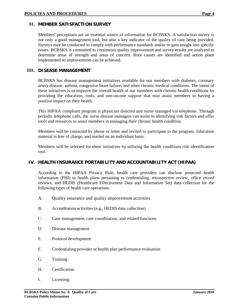<span id="page-4-0"></span>Members' perceptions are an essential source of information for BCBSKS. A satisfaction survey is not only a good management tool, but also a key indicator of the quality of care being provided. Surveys may be conducted to comply with performance standards and/or to gain insight into specific issues. BCBSKS is committed to continuous quality improvement and survey results are analyzed to determine areas of strength and areas of concern. Root causes are identified and action plans implemented so improvements can be achieved.

#### <span id="page-4-1"></span>**III. DISEASE MANAGEMENT**

BCBSKS has disease management initiatives available for our members with diabetes, coronary artery disease, asthma, congestive heart failure**,** and other chronic medical conditions. The intent of these initiatives is to improve the overall health of our members with chronic health conditions by providing the education, tools, and one-on-one support that may assist members in having a positive impact on their health.

This HIPAA compliant program is physician directed and nurse managed via telephone. Through periodic telephone calls, the nurse disease managers can assist in identifying risk factors and offer tools and resources to assist members in managing their chronic health condition.

Members will be contacted by phone or letter and invited to participate in the program. Education material is free of charge, and mailed on an individual basis.

Members will be selected for these initiatives by utilizing the health conditions risk identification tool.

# <span id="page-4-2"></span>**IV. HEALTH INSURANCE PORTABILITY AND ACCOUNTABILITY ACT (HIPAA)**

According to the HIPAA Privacy Rule, health care providers can disclose protected health information (PHI) to health plans pertaining to credentialing, retrospective review, office record reviews, and HEDIS (Healthcare Effectiveness Data and Information Set) data collection for the following types of health care operations:

- A. Quality assurance and quality improvement activities
- B. Accreditation activities (e.g., HEDIS data collection)
- C. Case management, care coordination, and related functions
- D. Disease management
- E. Protocol development
- F. Credentialing provider or health plan performance evaluation
- G. Training
- H. Certification
- I. Licensing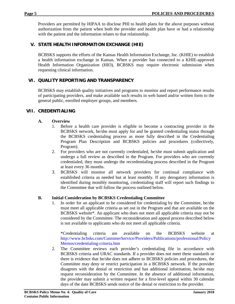Providers are permitted by HIPAA to disclose PHI to health plans for the above purposes without authorization from the patient when both the provider and health plan have or had a relationship with the patient and the information relates to that relationship.

# <span id="page-5-0"></span>**V. STATE HEALTH INFORMATION EXCHANGE (HIE)**

BCBSKS supports the efforts of the Kansas Health Information Exchange, Inc. (KHIE) to establish a health information exchange in Kansas. When a provider has connected to a KHIE-approved Health Information Organization (HIO), BCBSKS may require electronic submission when requesting clinical information.

# <span id="page-5-1"></span>**VI. QUALITY REPORTING AND TRANSPARENCY**

BCBSKS may establish quality initiatives and programs to monitor and report performance results of participating providers, and make available such results in web based and/or written form to the general public, enrolled employer groups, and members.

# <span id="page-5-2"></span>**VII. CREDENTIALING**

#### **A. Overview**

- 1. Before a health care provider is eligible to become a contracting provider in the BCBSKS network, he/she must apply for and be granted credentialing status through the BCBSKS credentialing process as more fully described in the Credentialing Program Plan Description and BCBSKS policies and procedures (collectively, Program).
- 2. For providers who are not currently credentialed, he/she must submit application and undergo a full review as described in the Program. For providers who are currently credentialed, they must undergo the recredentialing process described in the Program at least every 36 months.
- 3. BCBSKS will monitor all network providers for continual compliance with established criteria as needed but at least monthly. If any derogatory information is identified during monthly monitoring, credentialing staff will report such findings to the Committee that will follow the process outlined below.

#### **B. Initial Consideration by BCBSKS Credentialing Committee**

1. In order for an applicant to be considered for credentialing by the Committee, he/she must meet all applicable criteria as set out in the Program and that are available on the BCBSKS website\*. An applicant who does not meet all applicable criteria may not be considered by the Committee. The reconsideration and appeal process described below is not available to applicants who do not meet all applicable criteria.

\*Credentialing criteria are available on the BCBSKS website at [http://www.bcbsks.com/CustomerService/Providers/Publications/professional/Policy](http://www.bcbsks.com/CustomerService/Providers/Publications/professional/PolicyMemos/credentialing-criteria.htm) [Memos/credentialing-criteria.htm](http://www.bcbsks.com/CustomerService/Providers/Publications/professional/PolicyMemos/credentialing-criteria.htm)

2. The Committee reviews each provider's credentialing file in accordance with BCBSKS criteria and URAC standards. If a provider does not meet these standards or there is evidence that he/she does not adhere to BCBSKS policies and procedures, the Committee may deny or restrict participation in a BCBSKS network. If the provider disagrees with the denial or restriction and has additional information, he/she may request reconsideration by the Committee. In the absence of additional information, the provider may submit a written request for a first-level appeal within 30 calendar days of the date BCBSKS sends notice of the denial or restriction to the provider.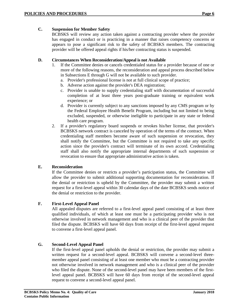BCBSKS will review any action taken against a contracting provider where the provider has engaged in conduct or is practicing in a manner that raises competency concerns or appears to pose a significant risk to the safety of BCBSKS members. The contracting provider will be offered appeal rights if his/her contracting status is suspended.

#### **D. Circumstances When Reconsideration/Appeal is not Available**

- 1. If the Committee denies or cancels credentialed status for a provider because of one or more of the following reasons, the reconsideration and appeal process described below in Subsections E through G will not be available to such provider.
	- a. Provider's professional license is not at full clinical scope of practice;
	- b. Adverse action against the provider's DEA registration;
	- c. Provider is unable to supply credentialing staff with documentation of successful completion of at least three years post-graduate training or equivalent work experience; or
	- d. Provider is currently subject to any sanctions imposed by any CMS program or by the Federal Employee Health Benefit Program, including but not limited to being excluded, suspended, or otherwise ineligible to participate in any state or federal health care program.
- 2. If a provider's regulatory board suspends or revokes his/her license, that provider's BCBSKS network contract is canceled by operation of the terms of the contract. When credentialing staff members become aware of such suspension or revocation, they shall notify the Committee, but the Committee is not required to take any specific action since the provider's contract will terminate of its own accord. Credentialing staff shall also notify the appropriate internal departments of such suspension or revocation to ensure that appropriate administrative action is taken.

# **E. Reconsideration**

If the Committee denies or restricts a provider's participation status, the Committee will allow the provider to submit additional supporting documentation for reconsideration. If the denial or restriction is upheld by the Committee, the provider may submit a written request for a first-level appeal within 30 calendar days of the date BCBSKS sends notice of the denial or restriction to the provider.

# **F. First-Level Appeal Panel**

All appealed disputes are referred to a first-level appeal panel consisting of at least three qualified individuals, of which at least one must be a participating provider who is not otherwise involved in network management and who is a clinical peer of the provider that filed the dispute. BCBSKS will have 60 days from receipt of the first-level appeal request to convene a first-level appeal panel.

# **G. Second-Level Appeal Panel**

If the first-level appeal panel upholds the denial or restriction, the provider may submit a written request for a second-level appeal. BCBSKS will convene a second-level threemember appeal panel consisting of at least one member who must be a contracting provider not otherwise involved in network management and who is a clinical peer of the provider who filed the dispute. None of the second-level panel may have been members of the firstlevel appeal panel. BCBSKS will have 60 days from receipt of the second-level appeal request to convene a second-level appeal panel.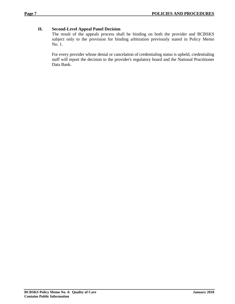# **H. Second-Level Appeal Panel Decision**

The result of the appeals process shall be binding on both the provider and BCBSKS subject only to the provision for binding arbitration previously stated in Policy Memo No. 1.

For every provider whose denial or cancelation of credentialing status is upheld, credentialing staff will report the decision to the provider's regulatory board and the National Practitioner Data Bank.